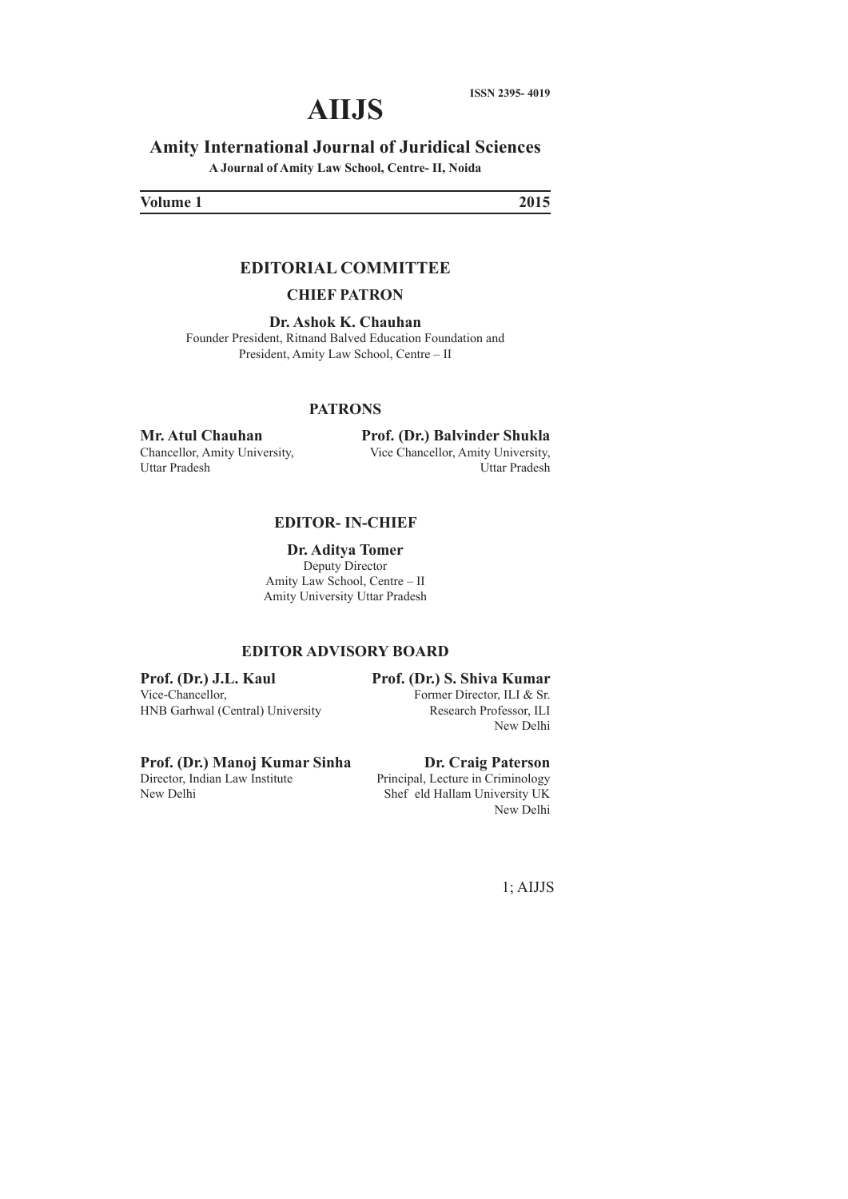**ISSN 2395- 4019**

# **AIIJS**

# **Amity International Journal of Juridical Sciences**

**A Journal of Amity Law School, Centre- II, Noida**

**Volume 1 2015** 

### **EDITORIAL COMMITTEE**

### **CHIEF PATRON**

**Dr. Ashok K. Chauhan** Founder President, Ritnand Balved Education Foundation and President, Amity Law School, Centre – II

### **PATRONS**

**Mr. Atul Chauhan Prof. (Dr.) Balvinder Shukla**<br>Chancellor, Amity University, Vice Chancellor, Amity University, Vice Chancellor, Amity University, Uttar Pradesh Uttar Pradesh Uttar Pradesh Uttar Pradesh Uttar Pradesh Uttar Pradesh Uttar Pradesh Uttar Pradesh

## **EDITOR- IN-CHIEF**

**Dr. Aditya Tomer** Deputy Director Amity Law School, Centre – II Amity University Uttar Pradesh

### **EDITOR ADVISORY BOARD**

**Prof. (Dr.) J.L. Kaul Prof. (Dr.) S. Shiva Kumar** Vice-Chancellor, Former Director, ILI & Sr.<br>
HNB Garhwal (Central) University Research Professor. ILI HNB Garhwal (Central) University

New Delhi

**Prof. (Dr.) Manoj Kumar Sinha Dr. Craig Paterson**<br>Director, Indian Law Institute Principal, Lecture in Criminology

Principal, Lecture in Criminology New Delhi Shef eld Hallam University UK New Delhi

1; AIJJS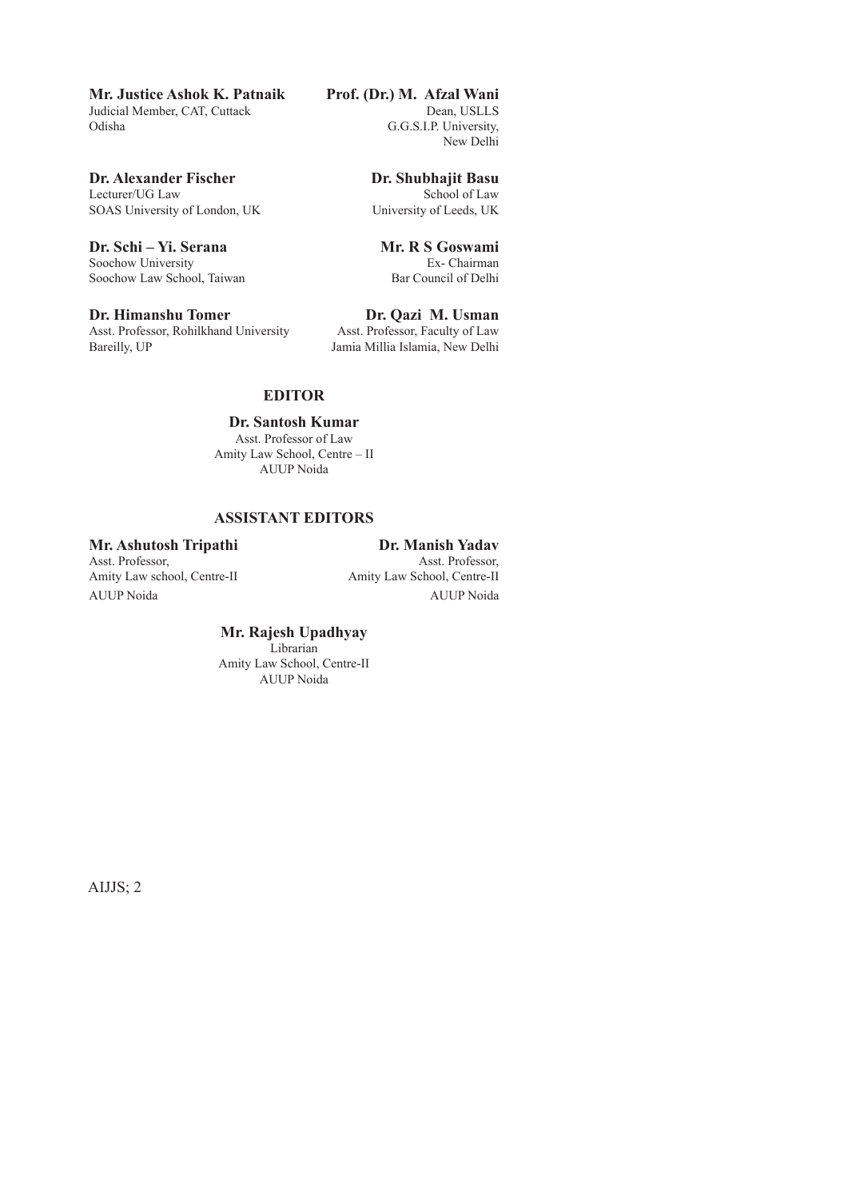**Mr. Justice Ashok K. Patnaik Prof. (Dr.) M. Afzal Wani** Judicial Member, CAT, Cuttack Dean, USLLS Odisha G.G.S.I.P. University,

**Dr. Alexander Fischer Dr. Shubhajit Basu**<br>Lecturer/UG Law School of Law Lecturer/UG Law School of Law School of Law School of Law School of Law School of Law University of Leeds, UK SOAS University of London, UK

**Dr. Schi – Yi. Serana Mr. R S Goswami**<br>
Soochow University<br>  $\begin{array}{c} \n\text{Nr. R S Goswami} \\
\text{Ex-Chairman}\n\end{array}$ Soochow University<br>
Soochow Law School, Taiwan<br>
Bar Council of Delhi Soochow Law School, Taiwan

Dr. Himanshu Tomer Dr. Qazi M. Usman Asst. Professor, Rohilkhand University Asst. Professor, Faculty of Law Bareilly, UP Jamia Millia Islamia, New Delhi

New Delhi

# **EDITOR**

# **Dr. Santosh Kumar**

Asst. Professor of Law Amity Law School, Centre – II AUUP Noida

# **ASSISTANT EDITORS**

Amity Law school, Centre-II AUUP Noida AUUP Noida

**Mr. Ashutosh Tripathi Dr. Manish Yadav**<br>Asst. Professor, Asst. Professor, Asst. Professor, Asst. Professor, Asst. Professor, Asst. Professor, Asst. Professor, Amity Law school, Centre-II

**Mr. Rajesh Upadhyay**

Librarian Amity Law School, Centre-II AUUP Noida

AIJJS; 2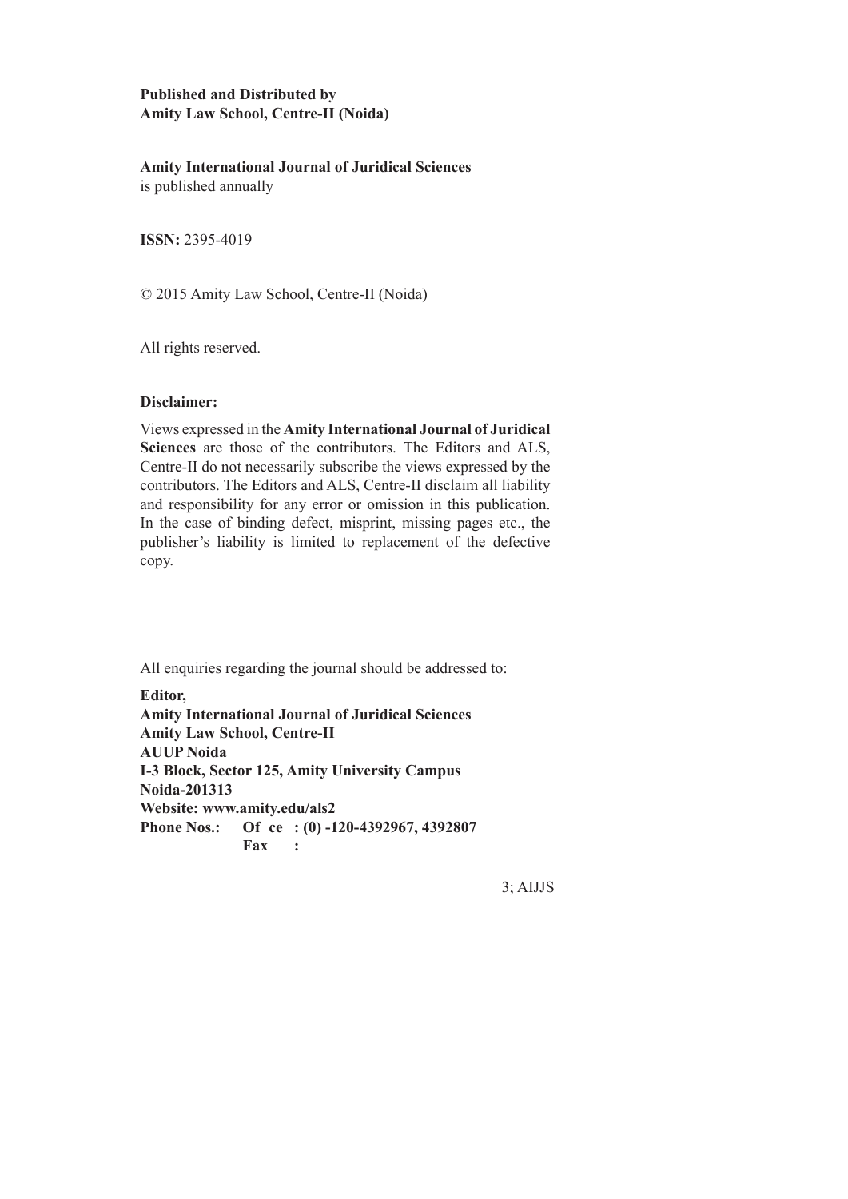## **Published and Distributed by Amity Law School, Centre-II (Noida)**

**Amity International Journal of Juridical Sciences** is published annually

**ISSN:** 2395-4019

© 2015 Amity Law School, Centre-II (Noida)

All rights reserved.

### **Disclaimer:**

Views expressed in the **Amity International Journal of Juridical Sciences** are those of the contributors. The Editors and ALS, Centre-II do not necessarily subscribe the views expressed by the contributors. The Editors and ALS, Centre-II disclaim all liability and responsibility for any error or omission in this publication. In the case of binding defect, misprint, missing pages etc., the publisher's liability is limited to replacement of the defective copy.

All enquiries regarding the journal should be addressed to:

**Editor, Amity International Journal of Juridical Sciences Amity Law School, Centre-II AUUP Noida I-3 Block, Sector 125, Amity University Campus Noida-201313 Website: www.amity.edu/als2 Phone Nos.: Of ce : (0) -120-4392967, 4392807 Fax :**

3; AIJJS